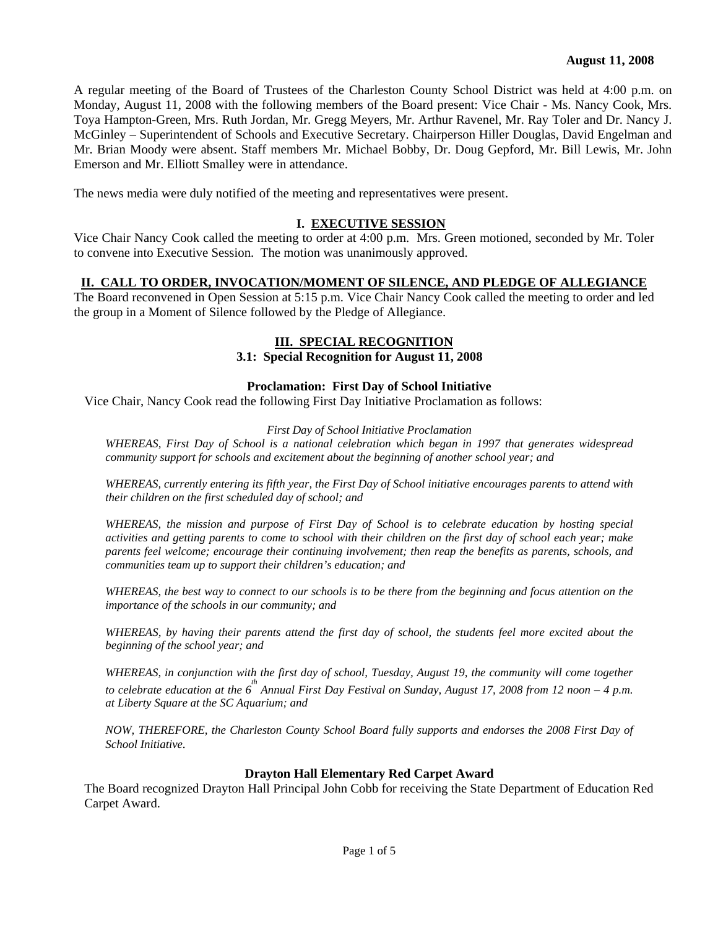A regular meeting of the Board of Trustees of the Charleston County School District was held at 4:00 p.m. on Monday, August 11, 2008 with the following members of the Board present: Vice Chair - Ms. Nancy Cook, Mrs. Toya Hampton-Green, Mrs. Ruth Jordan, Mr. Gregg Meyers, Mr. Arthur Ravenel, Mr. Ray Toler and Dr. Nancy J. McGinley – Superintendent of Schools and Executive Secretary. Chairperson Hiller Douglas, David Engelman and Mr. Brian Moody were absent. Staff members Mr. Michael Bobby, Dr. Doug Gepford, Mr. Bill Lewis, Mr. John Emerson and Mr. Elliott Smalley were in attendance.

The news media were duly notified of the meeting and representatives were present.

### **I. EXECUTIVE SESSION**

Vice Chair Nancy Cook called the meeting to order at 4:00 p.m. Mrs. Green motioned, seconded by Mr. Toler to convene into Executive Session. The motion was unanimously approved.

# **II. CALL TO ORDER, INVOCATION/MOMENT OF SILENCE, AND PLEDGE OF ALLEGIANCE**

The Board reconvened in Open Session at 5:15 p.m. Vice Chair Nancy Cook called the meeting to order and led the group in a Moment of Silence followed by the Pledge of Allegiance.

# **III. SPECIAL RECOGNITION**

### **3.1: Special Recognition for August 11, 2008**

### **Proclamation: First Day of School Initiative**

Vice Chair, Nancy Cook read the following First Day Initiative Proclamation as follows:

### *First Day of School Initiative Proclamation*

*WHEREAS, First Day of School is a national celebration which began in 1997 that generates widespread community support for schools and excitement about the beginning of another school year; and* 

*WHEREAS, currently entering its fifth year, the First Day of School initiative encourages parents to attend with their children on the first scheduled day of school; and* 

*WHEREAS, the mission and purpose of First Day of School is to celebrate education by hosting special activities and getting parents to come to school with their children on the first day of school each year; make parents feel welcome; encourage their continuing involvement; then reap the benefits as parents, schools, and communities team up to support their children's education; and* 

*WHEREAS, the best way to connect to our schools is to be there from the beginning and focus attention on the importance of the schools in our community; and* 

*WHEREAS, by having their parents attend the first day of school, the students feel more excited about the beginning of the school year; and* 

*WHEREAS, in conjunction with the first day of school, Tuesday, August 19, the community will come together to celebrate education at the 6<sup>th</sup> Annual First Day Festival on Sunday, August 17, 2008 from 12 noon – 4 p.m. at Liberty Square at the SC Aquarium; and* 

*NOW, THEREFORE, the Charleston County School Board fully supports and endorses the 2008 First Day of School Initiative.* 

### **Drayton Hall Elementary Red Carpet Award**

The Board recognized Drayton Hall Principal John Cobb for receiving the State Department of Education Red Carpet Award.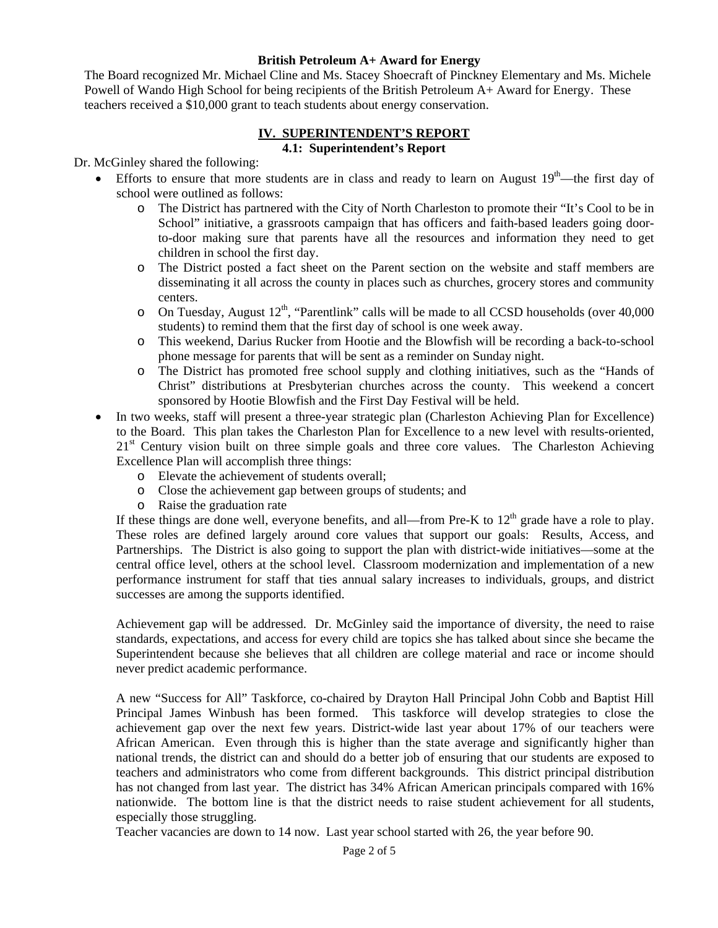### **British Petroleum A+ Award for Energy**

The Board recognized Mr. Michael Cline and Ms. Stacey Shoecraft of Pinckney Elementary and Ms. Michele Powell of Wando High School for being recipients of the British Petroleum A+ Award for Energy. These teachers received a \$10,000 grant to teach students about energy conservation.

### **IV. SUPERINTENDENT'S REPORT 4.1: Superintendent's Report**

Dr. McGinley shared the following:

- Efforts to ensure that more students are in class and ready to learn on August  $19<sup>th</sup>$ —the first day of school were outlined as follows:
	- o The District has partnered with the City of North Charleston to promote their "It's Cool to be in School" initiative, a grassroots campaign that has officers and faith-based leaders going doorto-door making sure that parents have all the resources and information they need to get children in school the first day.
	- o The District posted a fact sheet on the Parent section on the website and staff members are disseminating it all across the county in places such as churches, grocery stores and community centers.
	- o On Tuesday, August  $12^{th}$ , "Parentlink" calls will be made to all CCSD households (over 40,000 students) to remind them that the first day of school is one week away.
	- o This weekend, Darius Rucker from Hootie and the Blowfish will be recording a back-to-school phone message for parents that will be sent as a reminder on Sunday night.
	- o The District has promoted free school supply and clothing initiatives, such as the "Hands of Christ" distributions at Presbyterian churches across the county. This weekend a concert sponsored by Hootie Blowfish and the First Day Festival will be held.
- In two weeks, staff will present a three-year strategic plan (Charleston Achieving Plan for Excellence) to the Board. This plan takes the Charleston Plan for Excellence to a new level with results-oriented, 21<sup>st</sup> Century vision built on three simple goals and three core values. The Charleston Achieving Excellence Plan will accomplish three things:
	- o Elevate the achievement of students overall;
	- o Close the achievement gap between groups of students; and
	- o Raise the graduation rate

If these things are done well, everyone benefits, and all—from Pre-K to  $12<sup>th</sup>$  grade have a role to play. These roles are defined largely around core values that support our goals: Results, Access, and Partnerships. The District is also going to support the plan with district-wide initiatives—some at the central office level, others at the school level. Classroom modernization and implementation of a new performance instrument for staff that ties annual salary increases to individuals, groups, and district successes are among the supports identified.

Achievement gap will be addressed. Dr. McGinley said the importance of diversity, the need to raise standards, expectations, and access for every child are topics she has talked about since she became the Superintendent because she believes that all children are college material and race or income should never predict academic performance.

A new "Success for All" Taskforce, co-chaired by Drayton Hall Principal John Cobb and Baptist Hill Principal James Winbush has been formed. This taskforce will develop strategies to close the achievement gap over the next few years. District-wide last year about 17% of our teachers were African American. Even through this is higher than the state average and significantly higher than national trends, the district can and should do a better job of ensuring that our students are exposed to teachers and administrators who come from different backgrounds. This district principal distribution has not changed from last year. The district has 34% African American principals compared with 16% nationwide. The bottom line is that the district needs to raise student achievement for all students, especially those struggling.

Teacher vacancies are down to 14 now. Last year school started with 26, the year before 90.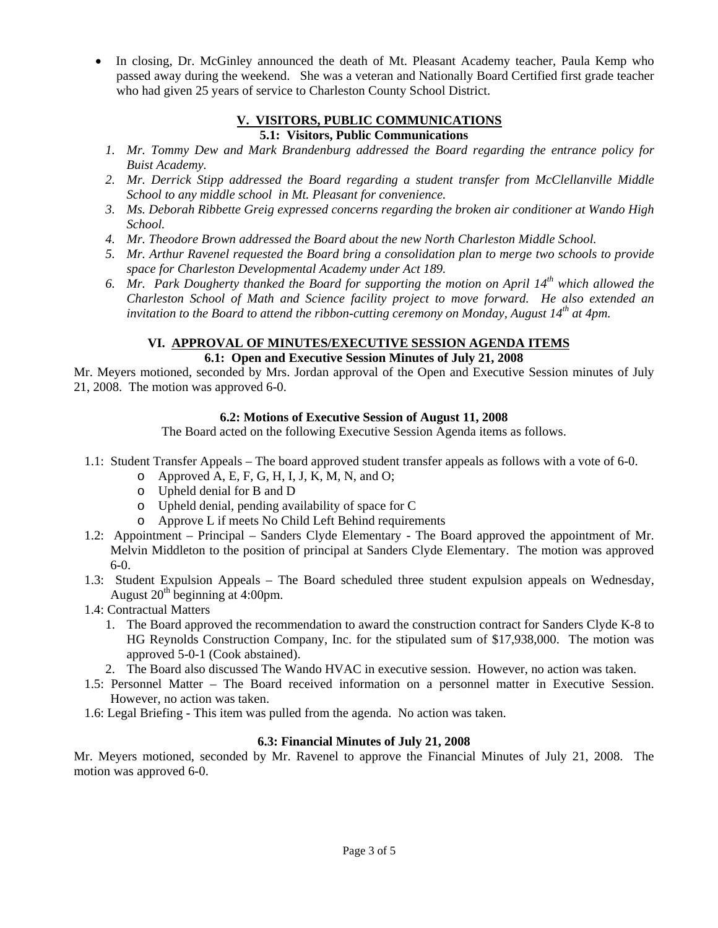In closing, Dr. McGinley announced the death of Mt. Pleasant Academy teacher, Paula Kemp who passed away during the weekend. She was a veteran and Nationally Board Certified first grade teacher who had given 25 years of service to Charleston County School District.

# **V. VISITORS, PUBLIC COMMUNICATIONS**

# **5.1: Visitors, Public Communications**

- *1. Mr. Tommy Dew and Mark Brandenburg addressed the Board regarding the entrance policy for Buist Academy.*
- *2. Mr. Derrick Stipp addressed the Board regarding a student transfer from McClellanville Middle School to any middle school in Mt. Pleasant for convenience.*
- *3. Ms. Deborah Ribbette Greig expressed concerns regarding the broken air conditioner at Wando High School.*
- *4. Mr. Theodore Brown addressed the Board about the new North Charleston Middle School.*
- *5. Mr. Arthur Ravenel requested the Board bring a consolidation plan to merge two schools to provide space for Charleston Developmental Academy under Act 189.*
- *6. Mr. Park Dougherty thanked the Board for supporting the motion on April 14th which allowed the Charleston School of Math and Science facility project to move forward. He also extended an invitation to the Board to attend the ribbon-cutting ceremony on Monday, August 14<sup>th</sup> at 4pm.*

# **VI. APPROVAL OF MINUTES/EXECUTIVE SESSION AGENDA ITEMS**

# **6.1: Open and Executive Session Minutes of July 21, 2008**

Mr. Meyers motioned, seconded by Mrs. Jordan approval of the Open and Executive Session minutes of July 21, 2008. The motion was approved 6-0.

# **6.2: Motions of Executive Session of August 11, 2008**

The Board acted on the following Executive Session Agenda items as follows.

- 1.1: Student Transfer Appeals The board approved student transfer appeals as follows with a vote of 6-0.
	- $\circ$  Approved A, E, F, G, H, I, J, K, M, N, and O;
	- o Upheld denial for B and D
	- o Upheld denial, pending availability of space for C
	- o Approve L if meets No Child Left Behind requirements
- 1.2: Appointment Principal Sanders Clyde Elementary The Board approved the appointment of Mr. Melvin Middleton to the position of principal at Sanders Clyde Elementary. The motion was approved 6-0.
- 1.3: Student Expulsion Appeals The Board scheduled three student expulsion appeals on Wednesday, August  $20^{th}$  beginning at 4:00pm.
- 1.4: Contractual Matters
	- 1. The Board approved the recommendation to award the construction contract for Sanders Clyde K-8 to HG Reynolds Construction Company, Inc. for the stipulated sum of \$17,938,000. The motion was approved 5-0-1 (Cook abstained).
	- 2. The Board also discussed The Wando HVAC in executive session. However, no action was taken.
- 1.5: Personnel Matter The Board received information on a personnel matter in Executive Session. However, no action was taken.
- 1.6: Legal Briefing This item was pulled from the agenda. No action was taken.

# **6.3: Financial Minutes of July 21, 2008**

Mr. Meyers motioned, seconded by Mr. Ravenel to approve the Financial Minutes of July 21, 2008. The motion was approved 6-0.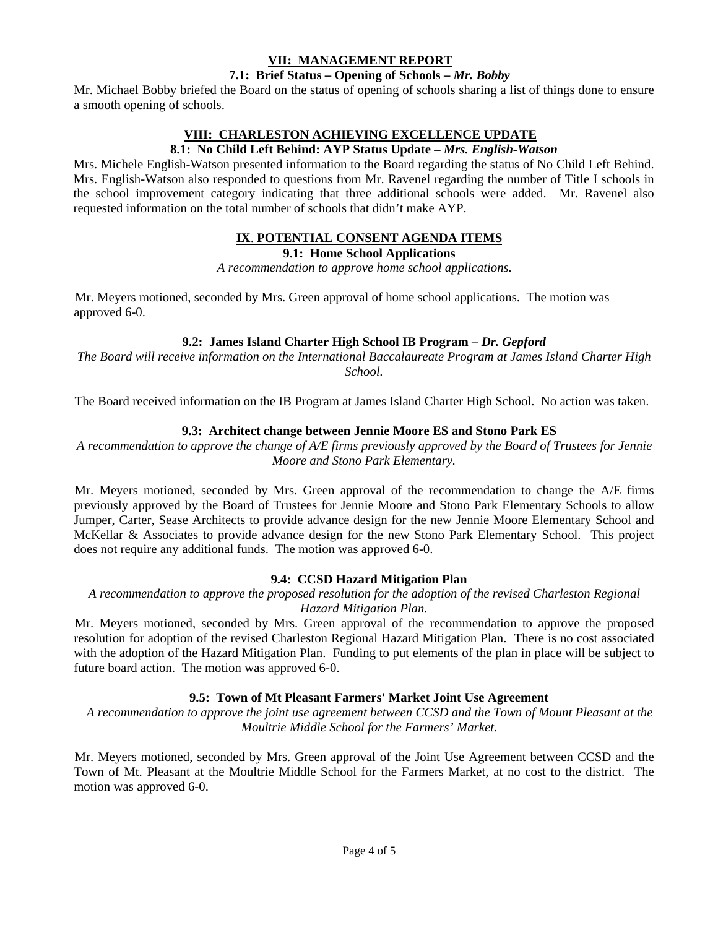# **VII: MANAGEMENT REPORT**

### **7.1: Brief Status – Opening of Schools –** *Mr. Bobby*

Mr. Michael Bobby briefed the Board on the status of opening of schools sharing a list of things done to ensure a smooth opening of schools.

# **VIII: CHARLESTON ACHIEVING EXCELLENCE UPDATE**

### **8.1: No Child Left Behind: AYP Status Update –** *Mrs. English-Watson*

Mrs. Michele English-Watson presented information to the Board regarding the status of No Child Left Behind. Mrs. English-Watson also responded to questions from Mr. Ravenel regarding the number of Title I schools in the school improvement category indicating that three additional schools were added. Mr. Ravenel also requested information on the total number of schools that didn't make AYP.

# **IX**. **POTENTIAL CONSENT AGENDA ITEMS**

**9.1: Home School Applications** 

*A recommendation to approve home school applications.* 

Mr. Meyers motioned, seconded by Mrs. Green approval of home school applications. The motion was approved 6-0.

# **9.2: James Island Charter High School IB Program –** *Dr. Gepford*

*The Board will receive information on the International Baccalaureate Program at James Island Charter High School.* 

The Board received information on the IB Program at James Island Charter High School. No action was taken.

# **9.3: Architect change between Jennie Moore ES and Stono Park ES**

*A recommendation to approve the change of A/E firms previously approved by the Board of Trustees for Jennie Moore and Stono Park Elementary.* 

Mr. Meyers motioned, seconded by Mrs. Green approval of the recommendation to change the A/E firms previously approved by the Board of Trustees for Jennie Moore and Stono Park Elementary Schools to allow Jumper, Carter, Sease Architects to provide advance design for the new Jennie Moore Elementary School and McKellar & Associates to provide advance design for the new Stono Park Elementary School. This project does not require any additional funds. The motion was approved 6-0.

### **9.4: CCSD Hazard Mitigation Plan**

*A recommendation to approve the proposed resolution for the adoption of the revised Charleston Regional Hazard Mitigation Plan.* 

Mr. Meyers motioned, seconded by Mrs. Green approval of the recommendation to approve the proposed resolution for adoption of the revised Charleston Regional Hazard Mitigation Plan. There is no cost associated with the adoption of the Hazard Mitigation Plan. Funding to put elements of the plan in place will be subject to future board action. The motion was approved 6-0.

# **9.5: Town of Mt Pleasant Farmers' Market Joint Use Agreement**

*A recommendation to approve the joint use agreement between CCSD and the Town of Mount Pleasant at the Moultrie Middle School for the Farmers' Market.* 

Mr. Meyers motioned, seconded by Mrs. Green approval of the Joint Use Agreement between CCSD and the Town of Mt. Pleasant at the Moultrie Middle School for the Farmers Market, at no cost to the district. The motion was approved 6-0.